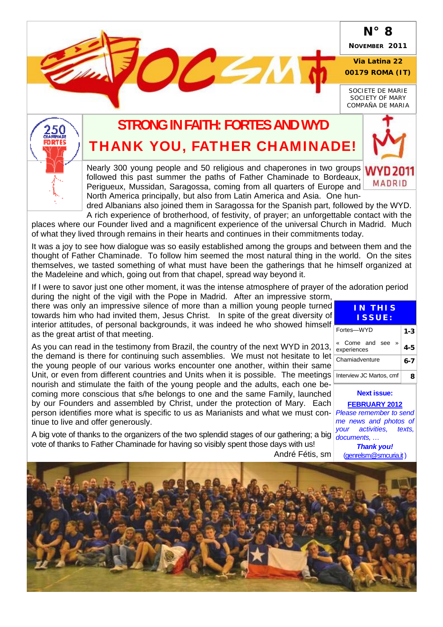## **N° 8**

**NOVEMBER 2011** 

#### **Via Latina 22 00179 ROMA (IT)**

*SOCIETE DE MARIE SOCIETY OF MARY COMPAÑA DE MARIA* 

**MADRID** 



# **STRONG IN FAITH: FORTES AND WYD**  THANK YOU, FATHER CHAMINADE!

 $DC < 1$ 

Nearly 300 young people and 50 religious and chaperones in two groups **WYD 2011** followed this past summer the paths of Father Chaminade to Bordeaux, Perigueux, Mussidan, Saragossa, coming from all quarters of Europe and North America principally, but also from Latin America and Asia. One hun-

dred Albanians also joined them in Saragossa for the Spanish part, followed by the WYD. A rich experience of brotherhood, of festivity, of prayer; an unforgettable contact with the

places where our Founder lived and a magnificent experience of the universal Church in Madrid. Much of what they lived through remains in their hearts and continues in their commitments today.

It was a joy to see how dialogue was so easily established among the groups and between them and the thought of Father Chaminade. To follow him seemed the most natural thing in the world. On the sites themselves, we tasted something of what must have been the gatherings that he himself organized at the Madeleine and which, going out from that chapel, spread way beyond it.

If I were to savor just one other moment, it was the intense atmosphere of prayer of the adoration period during the night of the vigil with the Pope in Madrid. After an impressive storm,

there was only an impressive silence of more than a million young people turned towards him who had invited them, Jesus Christ. In spite of the great diversity of interior attitudes, of personal backgrounds, it was indeed he who showed himself as the great artist of that meeting.

As you can read in the testimony from Brazil, the country of the next WYD in 2013, the demand is there for continuing such assemblies. We must not hesitate to let the young people of our various works encounter one another, within their same Unit, or even from different countries and Units when it is possible. The meetings nourish and stimulate the faith of the young people and the adults, each one becoming more conscious that s/he belongs to one and the same Family, launched by our Founders and assembled by Christ, under the protection of Mary. Each person identifies more what is specific to us as Marianists and what we must con-*Please remember to send*  tinue to live and offer generously.

A big vote of thanks to the organizers of the two splendid stages of our gathering; a big documents, ... vote of thanks to Father Chaminade for having so visibly spent those days with us!

| l<br>f<br>$\overline{\phantom{a}}$ | <b>IN THIS</b><br>ISSUE:                       |         |
|------------------------------------|------------------------------------------------|---------|
|                                    | Fortes-WYD                                     | 1-3     |
|                                    | « Come and see<br>$\rightarrow$<br>experiences | $4 - 5$ |
|                                    | Chamiadventure                                 | 6-7     |
|                                    | Interview JC Martos, cmf                       | 8       |

**Next issue:** 

**FEBRUARY 2012** *me news and photos of your activities, texts,* 

*Thank you!*  (genrelsm@smcuria.it)

André Fétis, sm

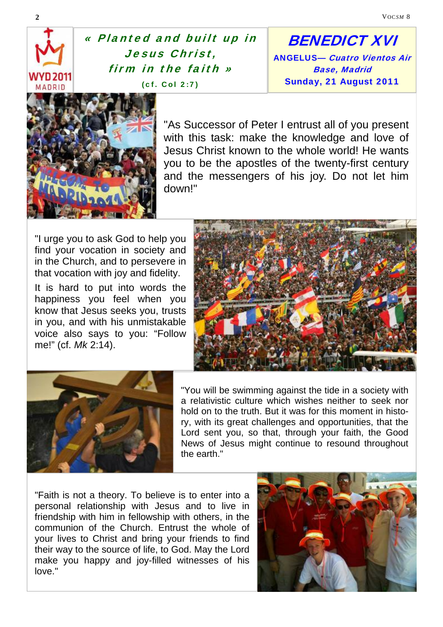« Planted and built up in Jesus Christ, firm in the faith » (cf. Col 2:7)

BENEDICT XVI ANGELUS— Cuatro Vientos Air Base, Madrid Sunday, 21 August 2011



"As Successor of Peter I entrust all of you present with this task: make the knowledge and love of Jesus Christ known to the whole world! He wants you to be the apostles of the twenty-first century and the messengers of his joy. Do not let him down!"

"I urge you to ask God to help you find your vocation in society and in the Church, and to persevere in that vocation with joy and fidelity.

It is hard to put into words the happiness you feel when you know that Jesus seeks you, trusts in you, and with his unmistakable voice also says to you: "Follow me!" (cf. *Mk* 2:14).





"You will be swimming against the tide in a society with a relativistic culture which wishes neither to seek nor hold on to the truth. But it was for this moment in history, with its great challenges and opportunities, that the Lord sent you, so that, through your faith, the Good News of Jesus might continue to resound throughout the earth."

"Faith is not a theory. To believe is to enter into a personal relationship with Jesus and to live in friendship with him in fellowship with others, in the communion of the Church. Entrust the whole of your lives to Christ and bring your friends to find their way to the source of life, to God. May the Lord make you happy and joy-filled witnesses of his love."

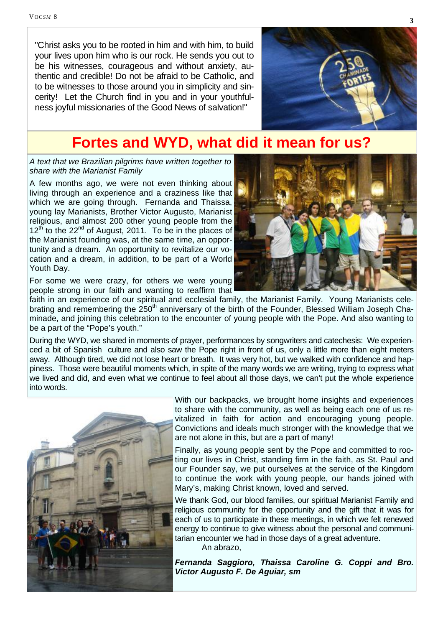"Christ asks you to be rooted in him and with him, to build your lives upon him who is our rock. He sends you out to be his witnesses, courageous and without anxiety, authentic and credible! Do not be afraid to be Catholic, and to be witnesses to those around you in simplicity and sincerity! Let the Church find in you and in your youthfulness joyful missionaries of the Good News of salvation!"



# **Fortes and WYD, what did it mean for us?**

*A text that we Brazilian pilgrims have written together to share with the Marianist Family* 

A few months ago, we were not even thinking about living through an experience and a craziness like that which we are going through. Fernanda and Thaissa, young lay Marianists, Brother Victor Augusto, Marianist religious, and almost 200 other young people from the  $12^{th}$  to the  $22^{nd}$  of August, 2011. To be in the places of the Marianist founding was, at the same time, an opportunity and a dream. An opportunity to revitalize our vocation and a dream, in addition, to be part of a World Youth Day.



For some we were crazy, for others we were young people strong in our faith and wanting to reaffirm that

faith in an experience of our spiritual and ecclesial family, the Marianist Family. Young Marianists celebrating and remembering the 250<sup>th</sup> anniversary of the birth of the Founder, Blessed William Joseph Chaminade, and joining this celebration to the encounter of young people with the Pope. And also wanting to be a part of the "Pope's youth."

During the WYD, we shared in moments of prayer, performances by songwriters and catechesis: We experienced a bit of Spanish culture and also saw the Pope right in front of us, only a little more than eight meters away. Although tired, we did not lose heart or breath. It was very hot, but we walked with confidence and happiness. Those were beautiful moments which, in spite of the many words we are writing, trying to express what we lived and did, and even what we continue to feel about all those days, we can't put the whole experience into words.



With our backpacks, we brought home insights and experiences to share with the community, as well as being each one of us revitalized in faith for action and encouraging young people. Convictions and ideals much stronger with the knowledge that we are not alone in this, but are a part of many!

Finally, as young people sent by the Pope and committed to rooting our lives in Christ, standing firm in the faith, as St. Paul and our Founder say, we put ourselves at the service of the Kingdom to continue the work with young people, our hands joined with Mary's, making Christ known, loved and served.

We thank God, our blood families, our spiritual Marianist Family and religious community for the opportunity and the gift that it was for each of us to participate in these meetings, in which we felt renewed energy to continue to give witness about the personal and communitarian encounter we had in those days of a great adventure.

An abrazo,

*Fernanda Saggioro, Thaissa Caroline G. Coppi and Bro. Victor Augusto F. De Aguiar, sm*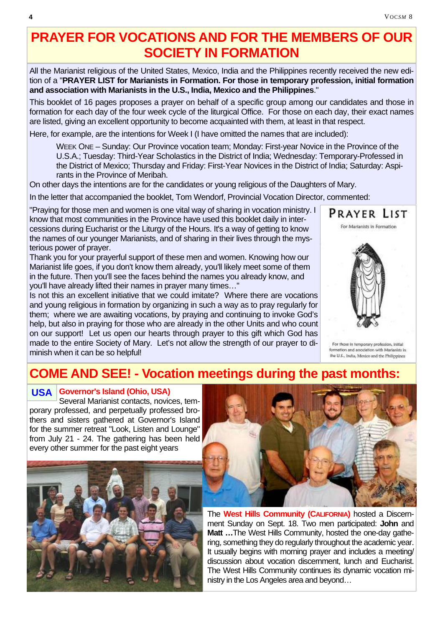# **PRAYER FOR VOCATIONS AND FOR THE MEMBERS OF OUR SOCIETY IN FORMATION**

All the Marianist religious of the United States, Mexico, India and the Philippines recently received the new edition of a "**PRAYER LIST for Marianists in Formation. For those in temporary profession, initial formation and association with Marianists in the U.S., India, Mexico and the Philippines**."

This booklet of 16 pages proposes a prayer on behalf of a specific group among our candidates and those in formation for each day of the four week cycle of the liturgical Office. For those on each day, their exact names are listed, giving an excellent opportunity to become acquainted with them, at least in that respect.

Here, for example, are the intentions for Week I (I have omitted the names that are included):

WEEK ONE – Sunday: Our Province vocation team; Monday: First-year Novice in the Province of the U.S.A.; Tuesday: Third-Year Scholastics in the District of India; Wednesday: Temporary-Professed in the District of Mexico; Thursday and Friday: First-Year Novices in the District of India; Saturday: Aspirants in the Province of Meribah.

On other days the intentions are for the candidates or young religious of the Daughters of Mary.

In the letter that accompanied the booklet, Tom Wendorf, Provincial Vocation Director, commented:

"Praying for those men and women is one vital way of sharing in vocation ministry. I know that most communities in the Province have used this booklet daily in intercessions during Eucharist or the Liturgy of the Hours. It's a way of getting to know the names of our younger Marianists, and of sharing in their lives through the mysterious power of prayer.

Thank you for your prayerful support of these men and women. Knowing how our Marianist life goes, if you don't know them already, you'll likely meet some of them in the future. Then you'll see the faces behind the names you already know, and you'll have already lifted their names in prayer many times…"

Is not this an excellent initiative that we could imitate? Where there are vocations and young religious in formation by organizing in such a way as to pray regularly for them; where we are awaiting vocations, by praying and continuing to invoke God's help, but also in praying for those who are already in the other Units and who count on our support! Let us open our hearts through prayer to this gift which God has made to the entire Society of Mary. Let's not allow the strength of our prayer to diminish when it can be so helpful!



For those in temporary profession, initial formation and association with Marianists in the U.S., India, Mexico and the Philippines

## **COME AND SEE! - Vocation meetings during the past months:**

## **Governor's Island (Ohio, USA) USA**

Several Marianist contacts, novices, temporary professed, and perpetually professed brothers and sisters gathered at Governor's Island for the summer retreat "Look, Listen and Lounge" from July 21 - 24. The gathering has been held every other summer for the past eight years





The **West Hills Community (CALIFORNIA)** hosted a Discernment Sunday on Sept. 18. Two men participated: **John** and **Matt …**The West Hills Community, hosted the one-day gathering, something they do regularly throughout the academic year. It usually begins with morning prayer and includes a meeting/ discussion about vocation discernment, lunch and Eucharist. The West Hills Community continues its dynamic vocation ministry in the Los Angeles area and beyond…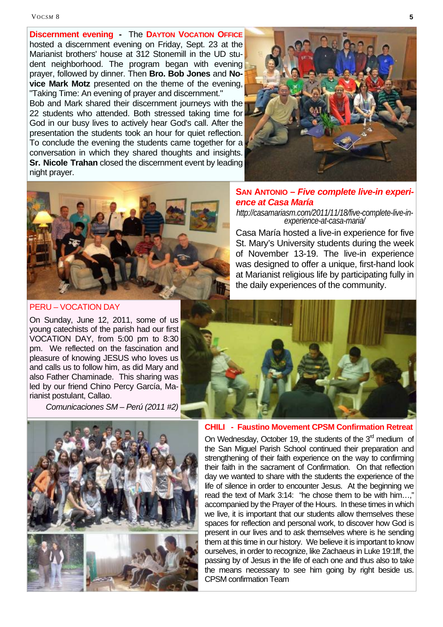**Discernment evening -** The **DAYTON VOCATION OFFICE** hosted a discernment evening on Friday, Sept. 23 at the Marianist brothers' house at 312 Stonemill in the UD student neighborhood. The program began with evening prayer, followed by dinner. Then **Bro. Bob Jones** and **Novice Mark Motz** presented on the theme of the evening, "Taking Time: An evening of prayer and discernment."

Bob and Mark shared their discernment journeys with the 22 students who attended. Both stressed taking time for God in our busy lives to actively hear God's call. After the presentation the students took an hour for quiet reflection. To conclude the evening the students came together for a conversation in which they shared thoughts and insights. **Sr. Nicole Trahan** closed the discernment event by leading night prayer.





PERU – VOCATION DAY

On Sunday, June 12, 2011, some of us young catechists of the parish had our first VOCATION DAY, from 5:00 pm to 8:30 pm. We reflected on the fascination and pleasure of knowing JESUS who loves us and calls us to follow him, as did Mary and also Father Chaminade. This sharing was led by our friend Chino Percy García, Marianist postulant, Callao.

*Comunicaciones SM – Perú (2011 #2)* 

#### **SAN ANTONIO –** *Five complete live-in experience at Casa María*

*http://casamariasm.com/2011/11/18/five-complete-live-in- experience-at-casa-maria/* 

Casa María hosted a live-in experience for five St. Mary's University students during the week of November 13-19. The live-in experience was designed to offer a unique, first-hand look at Marianist religious life by participating fully in the daily experiences of the community.





#### **CHILI - Faustino Movement CPSM Confirmation Retreat**

On Wednesday, October 19, the students of the  $3<sup>rd</sup>$  medium of the San Miguel Parish School continued their preparation and strengthening of their faith experience on the way to confirming their faith in the sacrament of Confirmation. On that reflection day we wanted to share with the students the experience of the life of silence in order to encounter Jesus. At the beginning we read the text of Mark 3:14: "he chose them to be with him…," accompanied by the Prayer of the Hours. In these times in which we live, it is important that our students allow themselves these spaces for reflection and personal work, to discover how God is present in our lives and to ask themselves where is he sending them at this time in our history. We believe it is important to know ourselves, in order to recognize, like Zachaeus in Luke 19:1ff, the passing by of Jesus in the life of each one and thus also to take the means necessary to see him going by right beside us. CPSM confirmation Team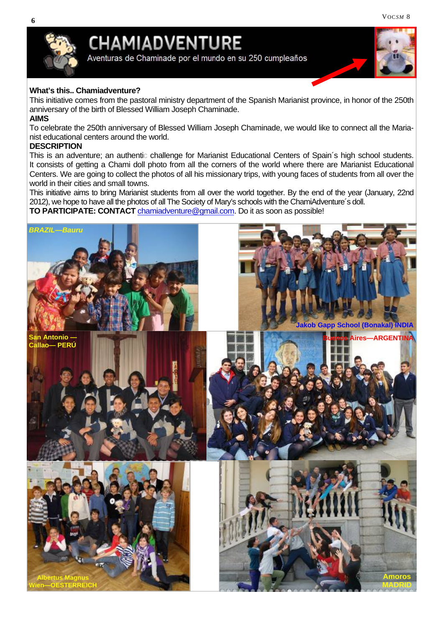

# **CHAMIADVENTURE**

Aventuras de Chaminade por el mundo en su 250 cumpleaños



#### **What's this.. Chamiadventure?**

This initiative comes from the pastoral ministry department of the Spanish Marianist province, in honor of the 250th anniversary of the birth of Blessed William Joseph Chaminade. **AIMS**

To celebrate the 250th anniversary of Blessed William Joseph Chaminade, we would like to connect all the Marianist educational centers around the world.

#### **DESCRIPTION**

This is an adventure; an authentic challenge for Marianist Educational Centers of Spain´s high school students. It consists of getting a Chami doll photo from all the corners of the world where there are Marianist Educational Centers. We are going to collect the photos of all his missionary trips, with young faces of students from all over the world in their cities and small towns.

This initiative aims to bring Marianist students from all over the world together. By the end of the year (January, 22nd 2012), we hope to have all the photos of all The Society of Mary's schools with the ChamiAdventure´s doll.

**TO PARTICIPATE: CONTACT** chamiadventure@gmail.com. Do it as soon as possible!

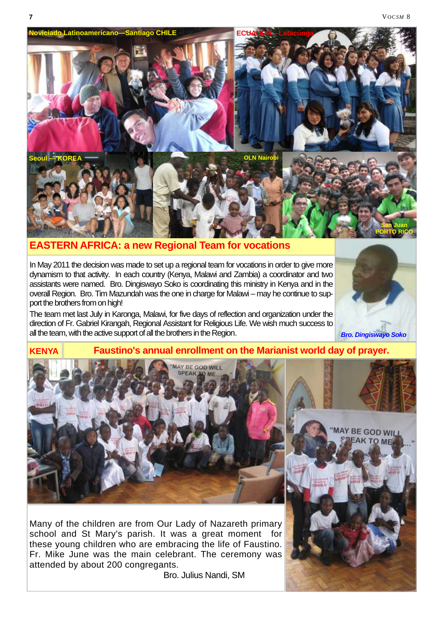

#### **EASTERN AFRICA: a new Regional Team for vocations**

In May 2011 the decision was made to set up a regional team for vocations in order to give more dynamism to that activity. In each country (Kenya, Malawi and Zambia) a coordinator and two assistants were named. Bro. Dingiswayo Soko is coordinating this ministry in Kenya and in the overall Region. Bro. Tim Mazundah was the one in charge for Malawi – may he continue to support the brothers from on high!

The team met last July in Karonga, Malawi, for five days of reflection and organization under the direction of Fr. Gabriel Kirangah, Regional Assistant for Religious Life. We wish much success to all the team, with the active support of all the brothers in the Region.

*Bro. Dingiswayo Soko*



Many of the children are from Our Lady of Nazareth primary school and St Mary's parish. It was a great moment for these young children who are embracing the life of Faustino. Fr. Mike June was the main celebrant. The ceremony was attended by about 200 congregants.

Bro. Julius Nandi, SM